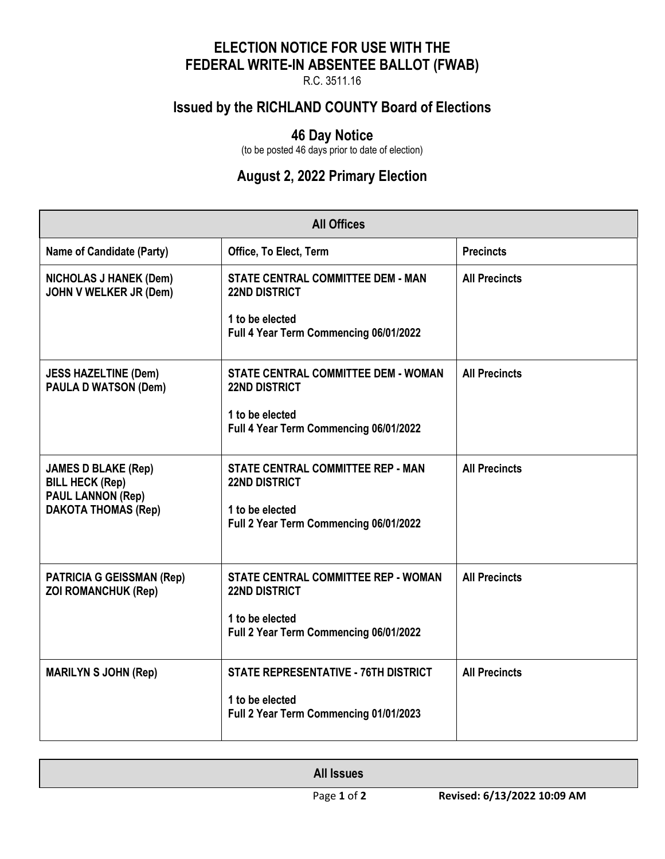## **ELECTION NOTICE FOR USE WITH THE FEDERAL WRITE-IN ABSENTEE BALLOT (FWAB)**

R.C. 3511.16

# **Issued by the RICHLAND COUNTY Board of Elections**

#### **46 Day Notice**

(to be posted 46 days prior to date of election)

## **August 2, 2022 Primary Election**

| <b>All Offices</b>                                                                                             |                                                                                                                               |                      |  |  |
|----------------------------------------------------------------------------------------------------------------|-------------------------------------------------------------------------------------------------------------------------------|----------------------|--|--|
| <b>Name of Candidate (Party)</b>                                                                               | Office, To Elect, Term                                                                                                        | <b>Precincts</b>     |  |  |
| <b>NICHOLAS J HANEK (Dem)</b><br>JOHN V WELKER JR (Dem)                                                        | <b>STATE CENTRAL COMMITTEE DEM - MAN</b><br><b>22ND DISTRICT</b><br>1 to be elected<br>Full 4 Year Term Commencing 06/01/2022 | <b>All Precincts</b> |  |  |
| <b>JESS HAZELTINE (Dem)</b><br><b>PAULA D WATSON (Dem)</b>                                                     | STATE CENTRAL COMMITTEE DEM - WOMAN<br><b>22ND DISTRICT</b><br>1 to be elected<br>Full 4 Year Term Commencing 06/01/2022      | <b>All Precincts</b> |  |  |
| <b>JAMES D BLAKE (Rep)</b><br><b>BILL HECK (Rep)</b><br><b>PAUL LANNON (Rep)</b><br><b>DAKOTA THOMAS (Rep)</b> | <b>STATE CENTRAL COMMITTEE REP - MAN</b><br><b>22ND DISTRICT</b><br>1 to be elected<br>Full 2 Year Term Commencing 06/01/2022 | <b>All Precincts</b> |  |  |
| <b>PATRICIA G GEISSMAN (Rep)</b><br><b>ZOI ROMANCHUK (Rep)</b>                                                 | STATE CENTRAL COMMITTEE REP - WOMAN<br><b>22ND DISTRICT</b><br>1 to be elected<br>Full 2 Year Term Commencing 06/01/2022      | <b>All Precincts</b> |  |  |
| <b>MARILYN S JOHN (Rep)</b>                                                                                    | <b>STATE REPRESENTATIVE - 76TH DISTRICT</b><br>1 to be elected<br>Full 2 Year Term Commencing 01/01/2023                      | <b>All Precincts</b> |  |  |

| <b>All Issues</b> |                             |
|-------------------|-----------------------------|
| Page 1 of 2       | Revised: 6/13/2022 10:09 AM |